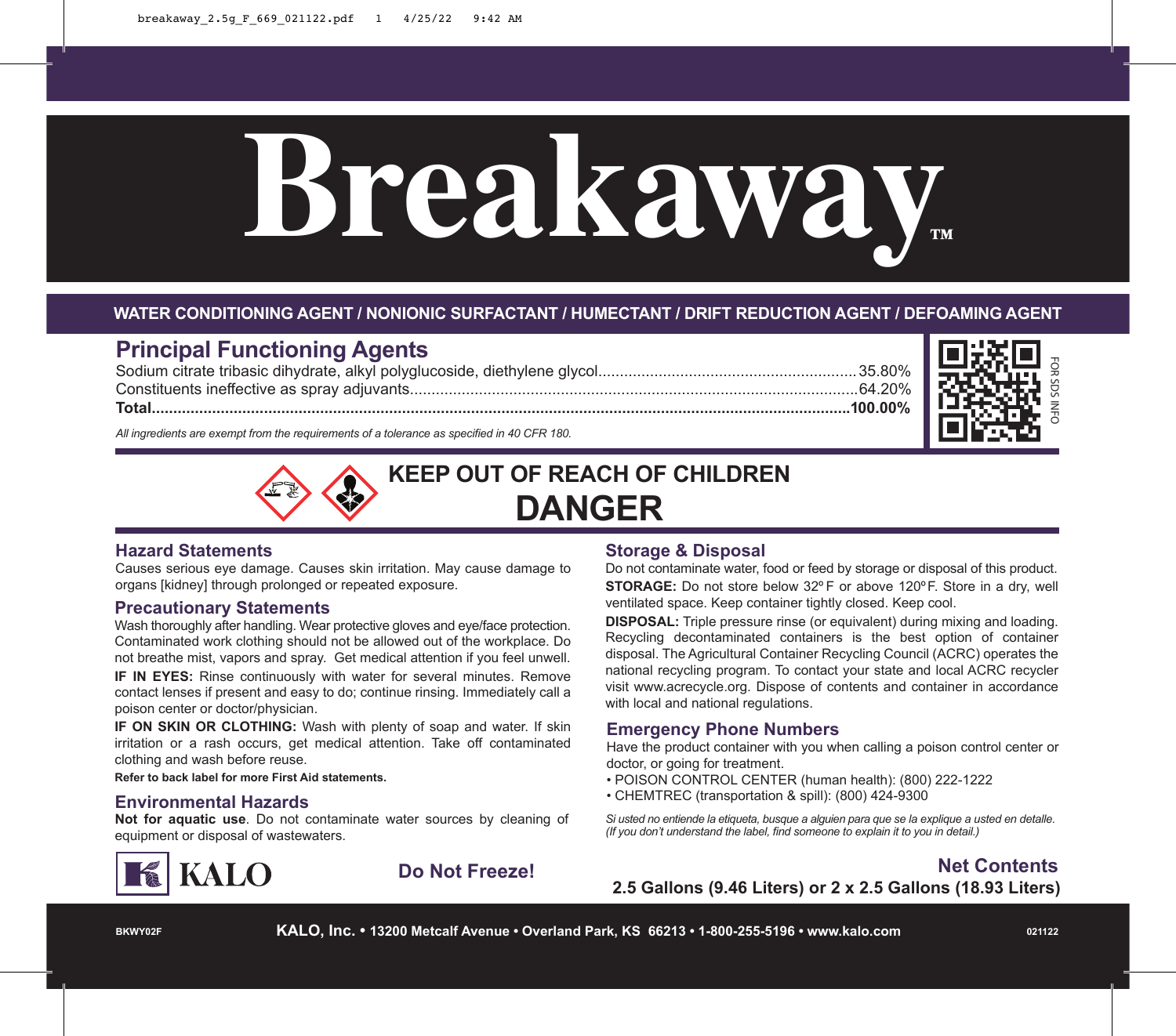

#### **WATER CONDITIONING AGENT / NONIONIC SURFACTANT / HUMECTANT / DRIFT REDUCTION AGENT / DEFOAMING AGENT**

# **Principal Functioning Agents**

Sodium citrate tribasic dihydrate, alkyl polyglucoside, diethylene glycol............................................................35.80% Constituents ineffective as spray adjuvants........................................................................................................64.20% **Total..................................................................................................................................................................100.00%**



*All ingredients are exempt from the requirements of a tolerance as specified in 40 CFR 180.*



#### **Hazard Statements**

Causes serious eye damage. Causes skin irritation. May cause damage to organs [kidney] through prolonged or repeated exposure.

#### **Precautionary Statements**

Wash thoroughly after handling. Wear protective gloves and eye/face protection. Contaminated work clothing should not be allowed out of the workplace. Do not breathe mist, vapors and spray. Get medical attention if you feel unwell. **IF IN EYES:** Rinse continuously with water for several minutes. Remove contact lenses if present and easy to do; continue rinsing. Immediately call a poison center or doctor/physician.

**IF ON SKIN OR CLOTHING:** Wash with plenty of soap and water. If skin irritation or a rash occurs, get medical attention. Take off contaminated clothing and wash before reuse.

**Refer to back label for more First Aid statements.**

**Not for aquatic use**. Do not contaminate water sources by cleaning of equipment or disposal of wastewaters.



#### **Storage & Disposal**

Do not contaminate water, food or feed by storage or disposal of this product. **STORAGE:** Do not store below 32º F or above 120ºF. Store in a dry, well ventilated space. Keep container tightly closed. Keep cool.

**DISPOSAL:** Triple pressure rinse (or equivalent) during mixing and loading. Recycling decontaminated containers is the best option of container disposal. The Agricultural Container Recycling Council (ACRC) operates the national recycling program. To contact your state and local ACRC recycler visit www.acrecycle.org. Dispose of contents and container in accordance with local and national regulations.

#### **Emergency Phone Numbers**

Have the product container with you when calling a poison control center or doctor, or going for treatment.

- POISON CONTROL CENTER (human health): (800) 222-1222
- CHEMTREC (transportation & spill): (800) 424-9300 **Environmental Hazards**

*Si usted no entiende la etiqueta, busque a alguien para que se la explique a usted en detalle. (If you don't understand the label, find someone to explain it to you in detail.)*

## **Do Not Freeze! Net Contents 2.5 Gallons (9.46 Liters) or 2 x 2.5 Gallons (18.93 Liters)**

**BKWY02F**

**KALO, Inc. • 13200 Metcalf Avenue • Overland Park, KS 66213 • 1-800-255-5196 • www.kalo.com**

**021122**